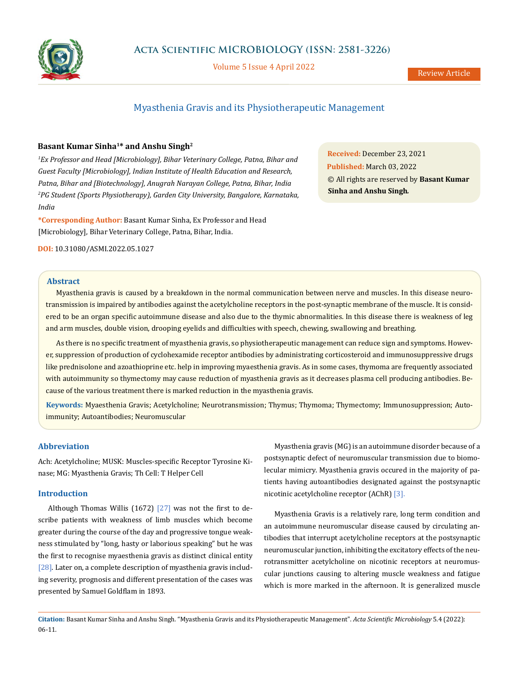

Volume 5 Issue 4 April 2022

# Myasthenia Gravis and its Physiotherapeutic Management

# **Basant Kumar Sinha1\* and Anshu Singh2**

*1 Ex Professor and Head [Microbiology], Bihar Veterinary College, Patna, Bihar and Guest Faculty [Microbiology], Indian Institute of Health Education and Research, Patna, Bihar and [Biotechnology], Anugrah Narayan College, Patna, Bihar, India 2 PG Student (Sports Physiotherapy), Garden City University, Bangalore, Karnataka, India*

**\*Corresponding Author:** Basant Kumar Sinha, Ex Professor and Head [Microbiology], Bihar Veterinary College, Patna, Bihar, India.

**DOI:** [10.31080/ASMI.2022.05.1027](http://actascientific.com/ASMI/pdf/ASMI-05-1027.pdf)

# **Abstract**

Myasthenia gravis is caused by a breakdown in the normal communication between nerve and muscles. In this disease neurotransmission is impaired by antibodies against the acetylcholine receptors in the post-synaptic membrane of the muscle. It is considered to be an organ specific autoimmune disease and also due to the thymic abnormalities. In this disease there is weakness of leg and arm muscles, double vision, drooping eyelids and difficulties with speech, chewing, swallowing and breathing.

As there is no specific treatment of myasthenia gravis, so physiotherapeutic management can reduce sign and symptoms. However, suppression of production of cyclohexamide receptor antibodies by administrating corticosteroid and immunosuppressive drugs like prednisolone and azoathioprine etc. help in improving myaesthenia gravis. As in some cases, thymoma are frequently associated with autoimmunity so thymectomy may cause reduction of myasthenia gravis as it decreases plasma cell producing antibodies. Because of the various treatment there is marked reduction in the myasthenia gravis.

**Keywords:** Myaesthenia Gravis; Acetylcholine; Neurotransmission; Thymus; Thymoma; Thymectomy; Immunosuppression; Autoimmunity; Autoantibodies; Neuromuscular

# **Abbreviation**

Ach: Acetylcholine; MUSK: Muscles-specific Receptor Tyrosine Kinase; MG: Myasthenia Gravis; Th Cell: T Helper Cell

# **Introduction**

Although Thomas Willis  $(1672)$   $[27]$  was not the first to describe patients with weakness of limb muscles which become greater during the course of the day and progressive tongue weakness stimulated by "long, hasty or laborious speaking" but he was the first to recognise myaesthenia gravis as distinct clinical entity [28]. Later on, a complete description of myasthenia gravis including severity, prognosis and different presentation of the cases was presented by Samuel Goldflam in 1893.

Myasthenia gravis (MG) is an autoimmune disorder because of a postsynaptic defect of neuromuscular transmission due to biomolecular mimicry. Myasthenia gravis occured in the majority of patients having autoantibodies designated against the postsynaptic nicotinic acetylcholine receptor (AChR) [3].

Myasthenia Gravis is a relatively rare, long term condition and an autoimmune neuromuscular disease caused by circulating antibodies that interrupt acetylcholine receptors at the postsynaptic neuromuscular junction, inhibiting the excitatory effects of the neurotransmitter acetylcholine on nicotinic receptors at neuromuscular junctions causing to altering muscle weakness and fatigue which is more marked in the afternoon. It is generalized muscle

**Citation:** Basant Kumar Sinha and Anshu Singh*.* "Myasthenia Gravis and its Physiotherapeutic Management". *Acta Scientific Microbiology* 5.4 (2022): 06-11.

**Received:** December 23, 2021 **Published:** March 03, 2022 © All rights are reserved by **Basant Kumar Sinha and Anshu Singh***.*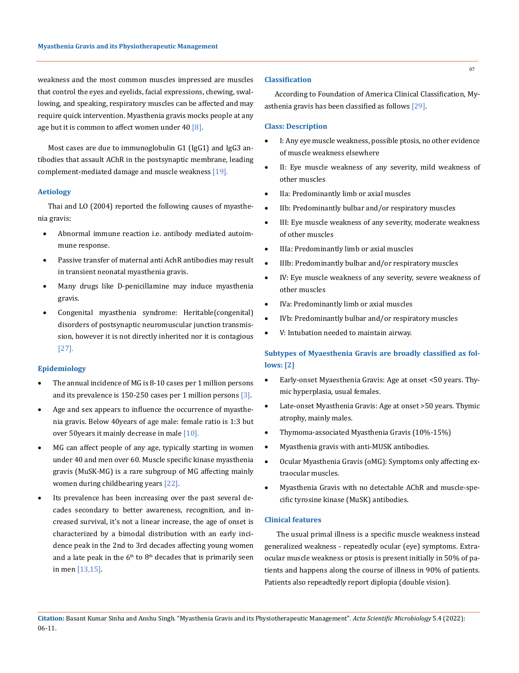weakness and the most common muscles impressed are muscles that control the eyes and eyelids, facial expressions, chewing, swallowing, and speaking, respiratory muscles can be affected and may require quick intervention. Myasthenia gravis mocks people at any age but it is common to affect women under  $40$  [8].

Most cases are due to immunoglobulin G1 (IgG1) and IgG3 antibodies that assault AChR in the postsynaptic membrane, leading complement-mediated damage and muscle weakness [19].

### **Aetiology**

Thai and LO (2004) reported the following causes of myasthenia gravis:

- Abnormal immune reaction i.e. antibody mediated autoimmune response.
- Passive transfer of maternal anti AchR antibodies may result in transient neonatal myasthenia gravis.
- Many drugs like D-penicillamine may induce myasthenia gravis.
- Congenital myasthenia syndrome: Heritable(congenital) disorders of postsynaptic neuromuscular junction transmission, however it is not directly inherited nor it is contagious [27].

# **Epidemiology**

- The annual incidence of MG is 8-10 cases per 1 million persons and its prevalence is 150-250 cases per 1 million persons [3].
- Age and sex appears to influence the occurrence of myasthenia gravis. Below 40years of age male: female ratio is 1:3 but over 50years it mainly decrease in male [10].
- • MG can affect people of any age, typically starting in women under 40 and men over 60. Muscle specific kinase myasthenia gravis (MuSK-MG) is a rare subgroup of MG affecting mainly women during childbearing years [22].
- Its prevalence has been increasing over the past several decades secondary to better awareness, recognition, and increased survival, it's not a linear increase, the age of onset is characterized by a bimodal distribution with an early incidence peak in the 2nd to 3rd decades affecting young women and a late peak in the  $6<sup>th</sup>$  to  $8<sup>th</sup>$  decades that is primarily seen in men [13,15].

# **Classification**

According to Foundation of America Clinical Classification, Myasthenia gravis has been classified as follows [29].

#### **Class: Description**

- I: Any eye muscle weakness, possible ptosis, no other evidence of muscle weakness elsewhere
- II: Eye muscle weakness of any severity, mild weakness of other muscles
- • IIa: Predominantly limb or axial muscles
- IIb: Predominantly bulbar and/or respiratory muscles
- III: Eye muscle weakness of any severity, moderate weakness of other muscles
- • IIIa: Predominantly limb or axial muscles
- IIIb: Predominantly bulbar and/or respiratory muscles
- IV: Eye muscle weakness of any severity, severe weakness of other muscles
- • IVa: Predominantly limb or axial muscles
- IVb: Predominantly bulbar and/or respiratory muscles
- V: Intubation needed to maintain airway.

# **Subtypes of Myaesthenia Gravis are broadly classified as follows: [2]**

- Early-onset Myaesthenia Gravis: Age at onset <50 years. Thymic hyperplasia, usual females.
- Late-onset Myasthenia Gravis: Age at onset >50 years. Thymic atrophy, mainly males.
- Thymoma-associated Myasthenia Gravis (10%-15%)
- • Myasthenia gravis with anti-MUSK antibodies.
- • Ocular Myasthenia Gravis (oMG): Symptoms only affecting extraocular muscles.
- Myasthenia Gravis with no detectable AChR and muscle-specific tyrosine kinase (MuSK) antibodies.

### **Clinical features**

 The usual primal illness is a specific muscle weakness instead generalized weakness - repeatedly ocular (eye) symptoms. Extraocular muscle weakness or ptosis is present initially in 50% of patients and happens along the course of illness in 90% of patients. Patients also repeadtedly report diplopia (double vision).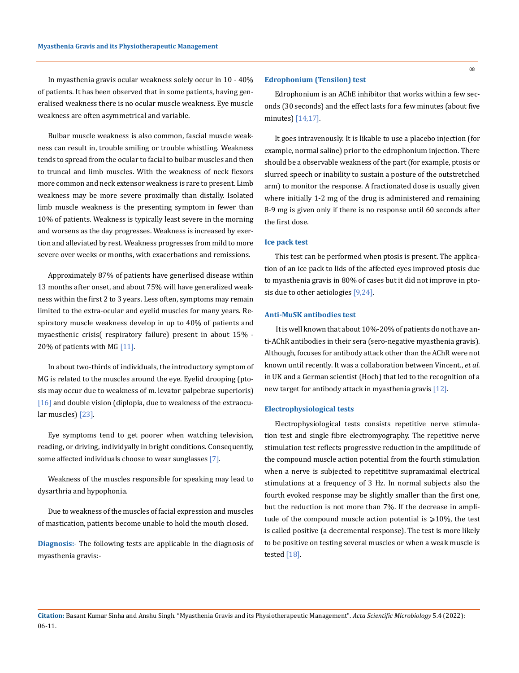In myasthenia gravis ocular weakness solely occur in 10 - 40% of patients. It has been observed that in some patients, having generalised weakness there is no ocular muscle weakness. Eye muscle weakness are often asymmetrical and variable.

Bulbar muscle weakness is also common, fascial muscle weakness can result in, trouble smiling or trouble whistling. Weakness tends to spread from the ocular to facial to bulbar muscles and then to truncal and limb muscles. With the weakness of neck flexors more common and neck extensor weakness is rare to present. Limb weakness may be more severe proximally than distally. Isolated limb muscle weakness is the presenting symptom in fewer than 10% of patients. Weakness is typically least severe in the morning and worsens as the day progresses. Weakness is increased by exertion and alleviated by rest. Weakness progresses from mild to more severe over weeks or months, with exacerbations and remissions.

Approximately 87% of patients have generlised disease within 13 months after onset, and about 75% will have generalized weakness within the first 2 to 3 years. Less often, symptoms may remain limited to the extra-ocular and eyelid muscles for many years. Respiratory muscle weakness develop in up to 40% of patients and myaesthenic crisis( respiratory failure) present in about 15% - 20% of patients with MG [11].

In about two-thirds of individuals, the introductory symptom of MG is related to the muscles around the eye. Eyelid drooping (ptosis may occur due to weakness of m. levator palpebrae superioris) [16] and double vision (diplopia, due to weakness of the extraocular muscles) [23].

Eye symptoms tend to get poorer when watching television, reading, or driving, individyally in bright conditions. Consequently, some affected individuals choose to wear sunglasses [7].

Weakness of the muscles responsible for speaking may lead to dysarthria and hypophonia.

Due to weakness of the muscles of facial expression and muscles of mastication, patients become unable to hold the mouth closed.

**Diagnosis:**- The following tests are applicable in the diagnosis of myasthenia gravis:-

### **Edrophonium (Tensilon) test**

Edrophonium is an AChE inhibitor that works within a few seconds (30 seconds) and the effect lasts for a few minutes (about five minutes) [14,17].

It goes intravenously. It is likable to use a placebo injection (for example, normal saline) prior to the edrophonium injection. There should be a observable weakness of the part (for example, ptosis or slurred speech or inability to sustain a posture of the outstretched arm) to monitor the response. A fractionated dose is usually given where initially 1-2 mg of the drug is administered and remaining 8-9 mg is given only if there is no response until 60 seconds after the first dose.

### **Ice pack test**

This test can be performed when ptosis is present. The application of an ice pack to lids of the affected eyes improved ptosis due to myasthenia gravis in 80% of cases but it did not improve in ptosis due to other aetiologies [9,24].

#### **Anti-MuSK antibodies test**

 It is well known that about 10%-20% of patients do not have anti-AChR antibodies in their sera (sero-negative myasthenia gravis). Although, focuses for antibody attack other than the AChR were not known until recently. It was a collaboration between Vincent., *et al*. in UK and a German scientist (Hoch) that led to the recognition of a new target for antibody attack in myasthenia gravis [12].

#### **Electrophysiological tests**

Electrophysiological tests consists repetitive nerve stimulation test and single fibre electromyography. The repetitive nerve stimulation test reflects progressive reduction in the ampilitude of the compound muscle action potential from the fourth stimulation when a nerve is subjected to repetititve supramaximal electrical stimulations at a frequency of 3 Hz. In normal subjects also the fourth evoked response may be slightly smaller than the first one, but the reduction is not more than 7%. If the decrease in amplitude of the compound muscle action potential is  $\geq 10\%$ , the test is called positive (a decremental response). The test is more likely to be positive on testing several muscles or when a weak muscle is tested [18].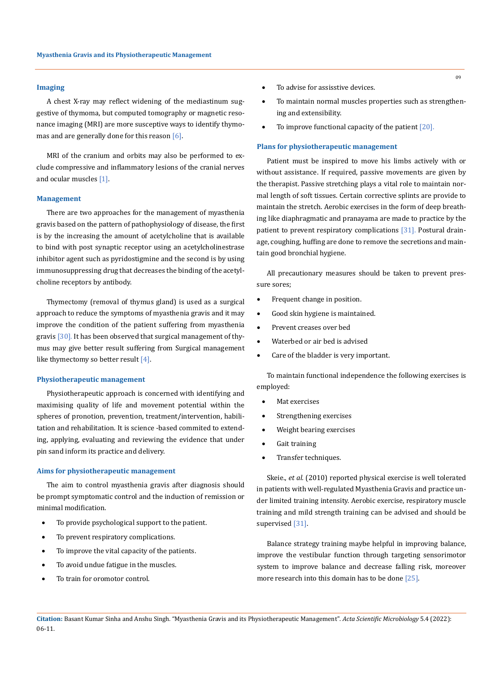#### **Imaging**

A chest X-ray may reflect widening of the mediastinum suggestive of thymoma, but computed tomography or magnetic resonance imaging (MRI) are more susceptive ways to identify thymomas and are generally done for this reason [6].

MRI of the cranium and orbits may also be performed to exclude compressive and inflammatory lesions of the cranial nerves and ocular muscles [1].

#### **Management**

There are two approaches for the management of myasthenia gravis based on the pattern of pathophysiology of disease, the first is by the increasing the amount of acetylcholine that is available to bind with post synaptic receptor using an acetylcholinestrase inhibitor agent such as pyridostigmine and the second is by using immunosuppressing drug that decreases the binding of the acetylcholine receptors by antibody.

Thymectomy (removal of thymus gland) is used as a surgical approach to reduce the symptoms of myasthenia gravis and it may improve the condition of the patient suffering from myasthenia gravis [30]*.* It has been observed that surgical management of thymus may give better result suffering from Surgical management like thymectomy so better result [4].

### **Physiotherapeutic management**

Physiotherapeutic approach is concerned with identifying and maximising quality of life and movement potential within the spheres of pronotion, prevention, treatment/intervention, habilitation and rehabilitation. It is science -based commited to extending, applying, evaluating and reviewing the evidence that under pin sand inform its practice and delivery.

#### **Aims for physiotherapeutic management**

The aim to control myasthenia gravis after diagnosis should be prompt symptomatic control and the induction of remission or minimal modification.

- To provide psychological support to the patient.
- To prevent respiratory complications.
- To improve the vital capacity of the patients.
- To avoid undue fatigue in the muscles.
- To train for oromotor control.
- To advise for assisstive devices.
- To maintain normal muscles properties such as strengthening and extensibility.
- To improve functional capacity of the patient  $[20]$ .

### **Plans for physiotherapeutic management**

Patient must be inspired to move his limbs actively with or without assistance. If required, passive movements are given by the therapist. Passive stretching plays a vital role to maintain normal length of soft tissues. Certain corrective splints are provide to maintain the stretch. Aerobic exercises in the form of deep breathing like diaphragmatic and pranayama are made to practice by the patient to prevent respiratory complications [31]. Postural drainage, coughing, huffing are done to remove the secretions and maintain good bronchial hygiene.

All precautionary measures should be taken to prevent pressure sores;

- • Frequent change in position.
- Good skin hygiene is maintained.
- • Prevent creases over bed
- Waterbed or air bed is advised
- • Care of the bladder is very important.

To maintain functional independence the following exercises is employed:

- Mat exercises
- Strengthening exercises
- • Weight bearing exercises
- Gait training
- Transfer techniques.

Skeie., *et al.* (2010) reported physical exercise is well tolerated in patients with well-regulated Myasthenia Gravis and practice under limited training intensity. Aerobic exercise, respiratory muscle training and mild strength training can be advised and should be supervised [31].

Balance strategy training maybe helpful in improving balance, improve the vestibular function through targeting sensorimotor system to improve balance and decrease falling risk, moreover more research into this domain has to be done [25].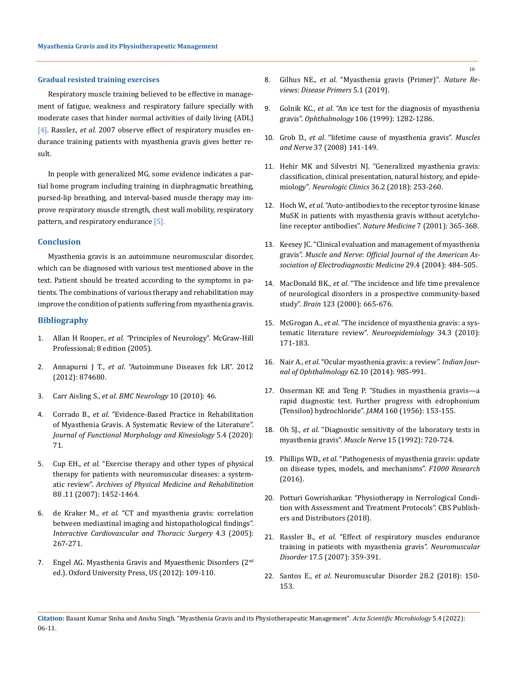#### **Gradual resisted training exercises**

Respiratory muscle training believed to be effective in management of fatigue, weakness and respiratory failure specially with moderate cases that hinder normal activities of daily living (ADL) [4]. Rassler., *et al.* 2007 observe effect of respiratory muscles endurance training patients with myasthenia gravis gives better result.

In people with generalized MG, some evidence indicates a partial home program including training in diaphragmatic breathing, pursed-lip breathing, and interval-based muscle therapy may improve respiratory muscle strength, chest wall mobility, respiratory pattern, and respiratory endurance [5].

### **Conclusion**

Myasthenia gravis is an autoimmune neuromuscular disorder, which can be diagnosed with various test mentioned above in the text. Patient should be treated according to the symptoms in patients. The combinations of various therapy and rehabilitation may improve the condition of patients suffering from myasthenia gravis.

#### **Bibliography**

- 1. Allan H Rooper., *et al*. *"*Principles of Neurology". McGraw-Hill Professional; 8 edition (2005).
- 2. Annapurni J T*.*, *et al*. "Autoimmune Diseases fck LR". 2012 (2012): 874680.
- 3. Carr Aisling S., *et al*. *BMC Neurology* 10 (2010): 46.
- 4. Corrado B., *et al*[. "Evidence-Based Practice in Rehabilitation](https://pubmed.ncbi.nlm.nih.gov/33467286/)  [of Myasthenia Gravis. A Systematic Review of the Literature".](https://pubmed.ncbi.nlm.nih.gov/33467286/)  *[Journal of Functional Morphology and Kinesiology](https://pubmed.ncbi.nlm.nih.gov/33467286/)* 5.4 (2020): [71.](https://pubmed.ncbi.nlm.nih.gov/33467286/)
- 5. Cup EH., *et al*[. "Exercise therapy and other types of physical](https://pubmed.ncbi.nlm.nih.gov/17964887/)  [therapy for patients with neuromuscular diseases: a system](https://pubmed.ncbi.nlm.nih.gov/17964887/)atic review". *[Archives of Physical Medicine and Rehabilitation](https://pubmed.ncbi.nlm.nih.gov/17964887/)* [88 .11 \(2007\): 1452-1464.](https://pubmed.ncbi.nlm.nih.gov/17964887/)
- 6. de Kraker M., *et al*[. "CT and myasthenia gravis: correlation](https://academic.oup.com/icvts/article/4/3/267/652320)  [between mediastinal imaging and histopathological findings".](https://academic.oup.com/icvts/article/4/3/267/652320)  *[Interactive Cardiovascular and Thoracic Surgery](https://academic.oup.com/icvts/article/4/3/267/652320)* 4.3 (2005): [267-271.](https://academic.oup.com/icvts/article/4/3/267/652320)
- 7. Engel AG. Myasthenia Gravis and Myaesthenic Disorders (2nd ed.). Oxford University Press, US (2012): 109-110.
- 8. Gilhus NE., *et al*[. "Myasthenia gravis \(Primer\)"](https://www.nature.com/articles/s41572-019-0079-y)*. Nature Re[views: Disease Primers](https://www.nature.com/articles/s41572-019-0079-y)* 5.1 (2019).
- 9. Golnik KC., *et al*. "An ice test for the diagnosis of myasthenia gravis". *Ophthalmology* 106 (1999): 1282-1286.
- 10. Grob D., *et al*[. "lifetime cause of myasthenia gravis".](https://pubmed.ncbi.nlm.nih.gov/18059039/) *Muscles and Nerve* [37 \(2008\) 141-149.](https://pubmed.ncbi.nlm.nih.gov/18059039/)
- 11. [Hehir MK and Silvestri NJ. "Generalized myasthenia gravis:](https://pubmed.ncbi.nlm.nih.gov/29655448/)  [classification, clinical presentation, natural history, and epide](https://pubmed.ncbi.nlm.nih.gov/29655448/)miology"*[. Neurologic Clinics](https://pubmed.ncbi.nlm.nih.gov/29655448/)* 36.2 (2018): 253-260.
- 12. Hoch W., *et al*[. "Auto-antibodies to the receptor tyrosine kinase](https://pubmed.ncbi.nlm.nih.gov/11231638/)  [MuSK in patients with myasthenia gravis without acetylcho](https://pubmed.ncbi.nlm.nih.gov/11231638/)[line receptor antibodies".](https://pubmed.ncbi.nlm.nih.gov/11231638/) *Nature Medicine* 7 (2001): 365-368.
- 13. [Keesey JC. "Clinical evaluation and management of myasthenia](https://pubmed.ncbi.nlm.nih.gov/15052614/)  gravis". *Muscle and Nerve: [Official Journal of the American As](https://pubmed.ncbi.nlm.nih.gov/15052614/)[sociation of Electrodiagnostic Medicine](https://pubmed.ncbi.nlm.nih.gov/15052614/)* 29.4 (2004): 484-505.
- 14. MacDonald BK., *et al*[. "The incidence and life time prevalence](https://pubmed.ncbi.nlm.nih.gov/10733998/)  [of neurological disorders in a prospective community-based](https://pubmed.ncbi.nlm.nih.gov/10733998/)  study". *Brain* [123 \(2000\): 665-676.](https://pubmed.ncbi.nlm.nih.gov/10733998/)
- 15. McGrogan A., *et al*[. "The incidence of myasthenia gravis: a sys](https://pubmed.ncbi.nlm.nih.gov/20130418/)[tematic literature review".](https://pubmed.ncbi.nlm.nih.gov/20130418/) *Neuroepidemiology* 34.3 (2010): [171-183.](https://pubmed.ncbi.nlm.nih.gov/20130418/)
- 16. Nair A., *et al*[. "Ocular myasthenia gravis: a review".](https://www.ncbi.nlm.nih.gov/pmc/articles/PMC4278125/) *Indian Journal of Ophthalmology* [62.10 \(2014\): 985-991.](https://www.ncbi.nlm.nih.gov/pmc/articles/PMC4278125/)
- 17. [Osserman KE and Teng P. "Studies in myasthenia gravis—a](https://pubmed.ncbi.nlm.nih.gov/13278160/)  [rapid diagnostic test. Further progress with edrophonium](https://pubmed.ncbi.nlm.nih.gov/13278160/)  [\(Tensilon\) hydrochloride".](https://pubmed.ncbi.nlm.nih.gov/13278160/) *JAMA* 160 (1956): 153-155.
- 18. Oh SJ., *et al*. "Diagnostic sensitivity of the laboratory tests in myasthenia gravis". *Muscle Nerve* 15 (1992): 720-724.
- 19. Phillips WD., *et al*[. "Pathogenesis of myasthenia gravis: update](https://pubmed.ncbi.nlm.nih.gov/27408701/)  [on disease types, models, and mechanisms".](https://pubmed.ncbi.nlm.nih.gov/27408701/) *F1000 Research* [\(2016\).](https://pubmed.ncbi.nlm.nih.gov/27408701/)
- 20. Potturi Gowrishankar. "Physiotherapy in Nerrological Condition with Assessment and Treatment Protocols". CBS Publishers and Distributors (2018).
- 21. Rassler B., *et al*. "Effect of respiratory muscles endurance training in patients with myasthenia gravis". *Neuromuscular Disorder* 17.5 (2007): 359-391.
- 22. Santos E., *et al*. Neuromuscular Disorder 28.2 (2018): 150- 153.
- **Citation:** Basant Kumar Sinha and Anshu Singh*.* "Myasthenia Gravis and its Physiotherapeutic Management". *Acta Scientific Microbiology* 5.4 (2022): 06-11.

10